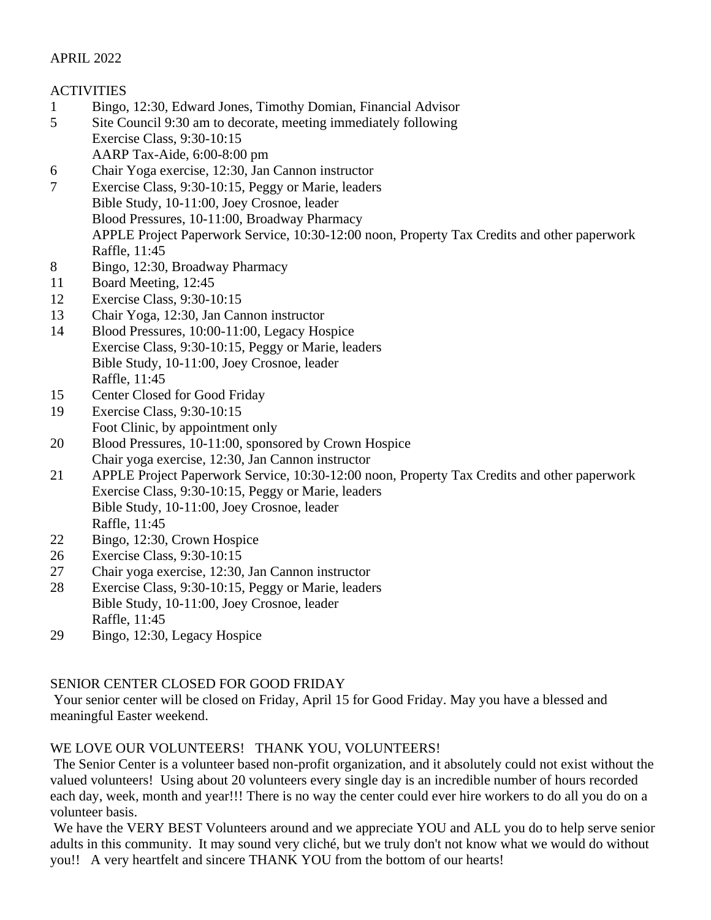### APRIL 2022

## **ACTIVITIES**

- 1 Bingo, 12:30, Edward Jones, Timothy Domian, Financial Advisor
- 5 Site Council 9:30 am to decorate, meeting immediately following Exercise Class, 9:30-10:15 AARP Tax-Aide, 6:00-8:00 pm
- 6 Chair Yoga exercise, 12:30, Jan Cannon instructor
- 7 Exercise Class, 9:30-10:15, Peggy or Marie, leaders Bible Study, 10-11:00, Joey Crosnoe, leader Blood Pressures, 10-11:00, Broadway Pharmacy APPLE Project Paperwork Service, 10:30-12:00 noon, Property Tax Credits and other paperwork Raffle, 11:45
- 8 Bingo, 12:30, Broadway Pharmacy
- 11 Board Meeting, 12:45
- 12 Exercise Class, 9:30-10:15
- 13 Chair Yoga, 12:30, Jan Cannon instructor
- 14 Blood Pressures, 10:00-11:00, Legacy Hospice Exercise Class, 9:30-10:15, Peggy or Marie, leaders Bible Study, 10-11:00, Joey Crosnoe, leader Raffle, 11:45
- 15 Center Closed for Good Friday
- 19 Exercise Class, 9:30-10:15 Foot Clinic, by appointment only
- 20 Blood Pressures, 10-11:00, sponsored by Crown Hospice Chair yoga exercise, 12:30, Jan Cannon instructor
- 21 APPLE Project Paperwork Service, 10:30-12:00 noon, Property Tax Credits and other paperwork Exercise Class, 9:30-10:15, Peggy or Marie, leaders Bible Study, 10-11:00, Joey Crosnoe, leader Raffle, 11:45
- 22 Bingo, 12:30, Crown Hospice
- 26 Exercise Class, 9:30-10:15
- 27 Chair yoga exercise, 12:30, Jan Cannon instructor
- 28 Exercise Class, 9:30-10:15, Peggy or Marie, leaders Bible Study, 10-11:00, Joey Crosnoe, leader Raffle, 11:45
- 29 Bingo, 12:30, Legacy Hospice

# SENIOR CENTER CLOSED FOR GOOD FRIDAY

Your senior center will be closed on Friday, April 15 for Good Friday. May you have a blessed and meaningful Easter weekend.

# WE LOVE OUR VOLUNTEERS! THANK YOU, VOLUNTEERS!

The Senior Center is a volunteer based non-profit organization, and it absolutely could not exist without the valued volunteers! Using about 20 volunteers every single day is an incredible number of hours recorded each day, week, month and year!!! There is no way the center could ever hire workers to do all you do on a volunteer basis.

We have the VERY BEST Volunteers around and we appreciate YOU and ALL you do to help serve senior adults in this community. It may sound very cliché, but we truly don't not know what we would do without you!! A very heartfelt and sincere THANK YOU from the bottom of our hearts!